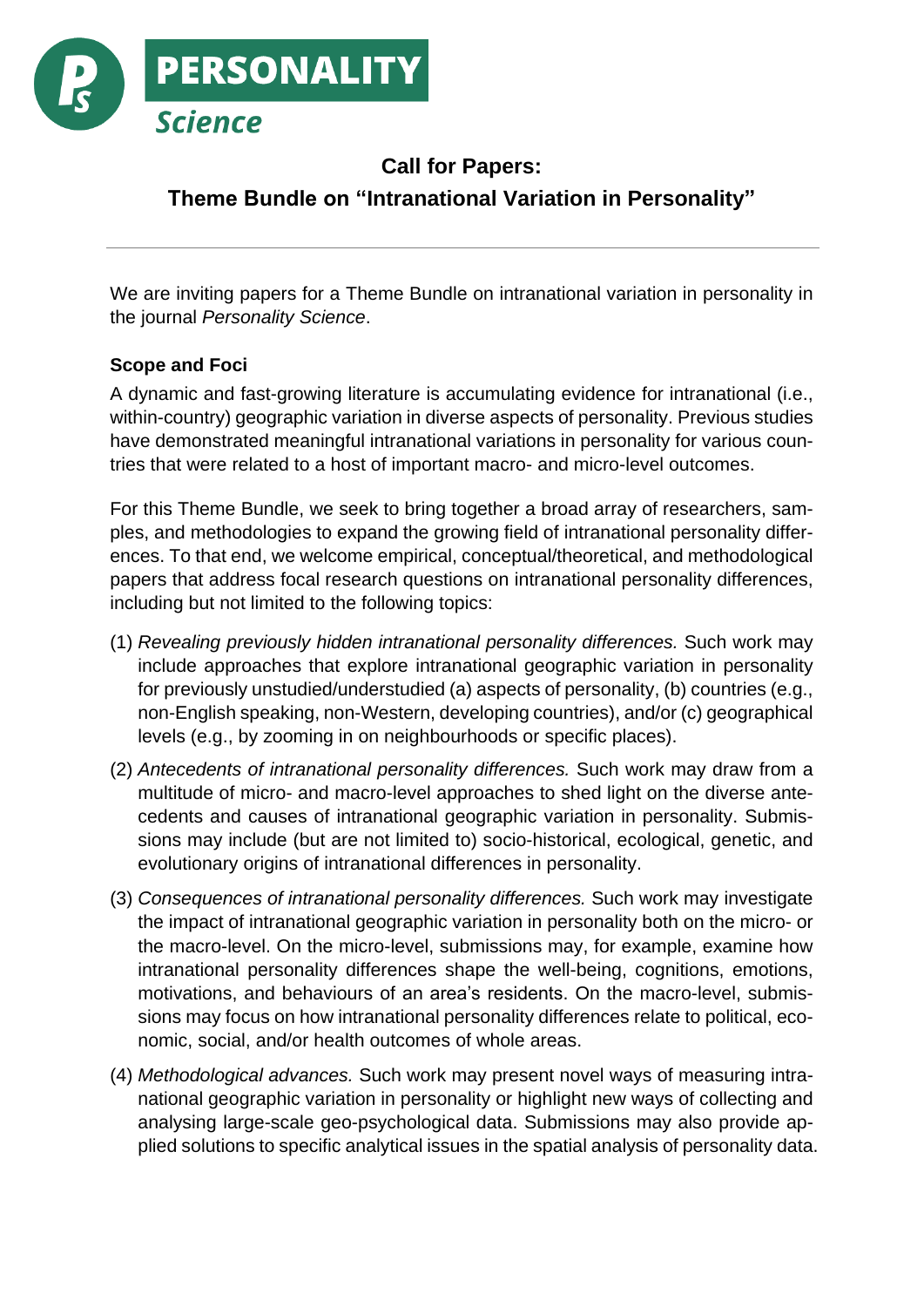

# **Call for Papers: Theme Bundle on "Intranational Variation in Personality"**

We are inviting papers for a Theme Bundle on intranational variation in personality in the journal *Personality Science*.

## **Scope and Foci**

A dynamic and fast-growing literature is accumulating evidence for intranational (i.e., within-country) geographic variation in diverse aspects of personality. Previous studies have demonstrated meaningful intranational variations in personality for various countries that were related to a host of important macro- and micro-level outcomes.

For this Theme Bundle, we seek to bring together a broad array of researchers, samples, and methodologies to expand the growing field of intranational personality differences. To that end, we welcome empirical, conceptual/theoretical, and methodological papers that address focal research questions on intranational personality differences, including but not limited to the following topics:

- (1) *Revealing previously hidden intranational personality differences.* Such work may include approaches that explore intranational geographic variation in personality for previously unstudied/understudied (a) aspects of personality, (b) countries (e.g., non-English speaking, non-Western, developing countries), and/or (c) geographical levels (e.g., by zooming in on neighbourhoods or specific places).
- (2) *Antecedents of intranational personality differences.* Such work may draw from a multitude of micro- and macro-level approaches to shed light on the diverse antecedents and causes of intranational geographic variation in personality. Submissions may include (but are not limited to) socio-historical, ecological, genetic, and evolutionary origins of intranational differences in personality.
- (3) *Consequences of intranational personality differences.* Such work may investigate the impact of intranational geographic variation in personality both on the micro- or the macro-level. On the micro-level, submissions may, for example, examine how intranational personality differences shape the well-being, cognitions, emotions, motivations, and behaviours of an area's residents. On the macro-level, submissions may focus on how intranational personality differences relate to political, economic, social, and/or health outcomes of whole areas.
- (4) *Methodological advances.* Such work may present novel ways of measuring intranational geographic variation in personality or highlight new ways of collecting and analysing large-scale geo-psychological data. Submissions may also provide applied solutions to specific analytical issues in the spatial analysis of personality data.